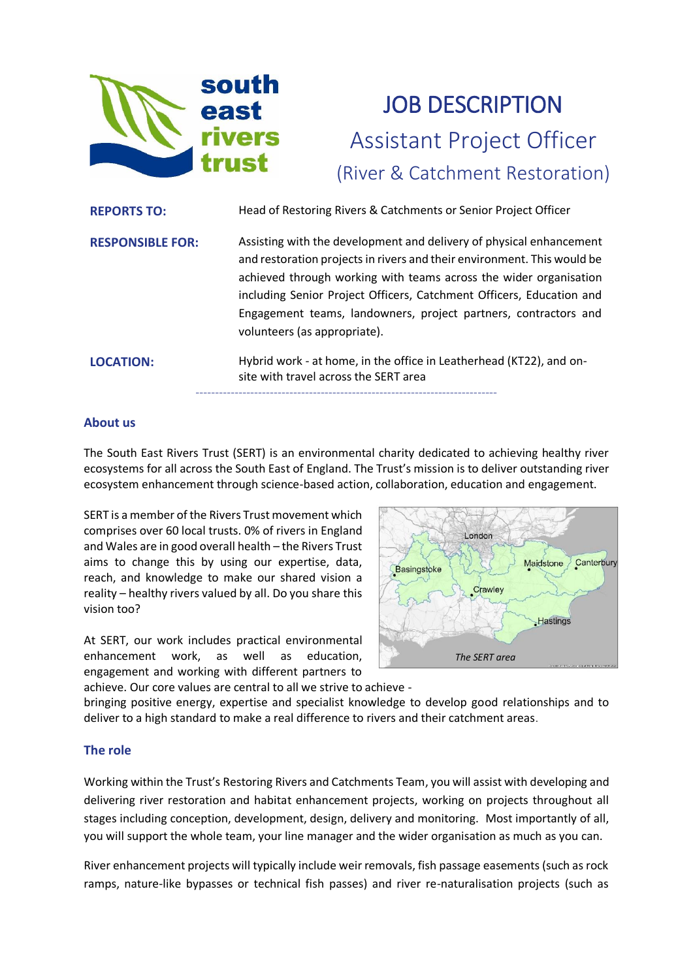

# JOB DESCRIPTION Assistant Project Officer (River & Catchment Restoration)

| <b>REPORTS TO:</b>      | Head of Restoring Rivers & Catchments or Senior Project Officer                                                                                                                                                                                                                                                                                                                                |
|-------------------------|------------------------------------------------------------------------------------------------------------------------------------------------------------------------------------------------------------------------------------------------------------------------------------------------------------------------------------------------------------------------------------------------|
| <b>RESPONSIBLE FOR:</b> | Assisting with the development and delivery of physical enhancement<br>and restoration projects in rivers and their environment. This would be<br>achieved through working with teams across the wider organisation<br>including Senior Project Officers, Catchment Officers, Education and<br>Engagement teams, landowners, project partners, contractors and<br>volunteers (as appropriate). |
| <b>LOCATION:</b>        | Hybrid work - at home, in the office in Leatherhead (KT22), and on-<br>site with travel across the SERT area                                                                                                                                                                                                                                                                                   |

#### **About us**

The South East Rivers Trust (SERT) is an environmental charity dedicated to achieving healthy river ecosystems for all across the South East of England. The Trust's mission is to deliver outstanding river ecosystem enhancement through science-based action, collaboration, education and engagement.

SERT is a member of the Rivers Trust movement which comprises over 60 local trusts. 0% of rivers in England and Wales are in good overall health – the Rivers Trust aims to change this by using our expertise, data, reach, and knowledge to make our shared vision a reality – healthy rivers valued by all. Do you share this vision too?

At SERT, our work includes practical environmental enhancement work, as well as education, engagement and working with different partners to



achieve. Our core values are central to all we strive to achieve bringing positive energy, expertise and specialist knowledge to develop good relationships and to deliver to a high standard to make a real difference to rivers and their catchment areas.

#### **The role**

Working within the Trust's Restoring Rivers and Catchments Team, you will assist with developing and delivering river restoration and habitat enhancement projects, working on projects throughout all stages including conception, development, design, delivery and monitoring. Most importantly of all, you will support the whole team, your line manager and the wider organisation as much as you can.

River enhancement projects will typically include weir removals, fish passage easements (such as rock ramps, nature-like bypasses or technical fish passes) and river re-naturalisation projects (such as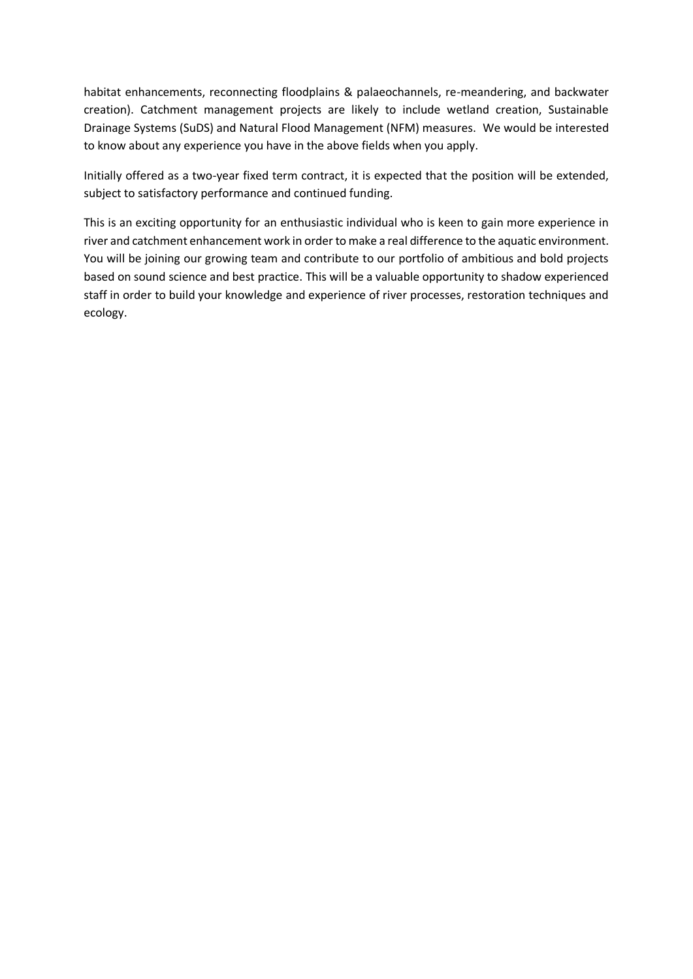habitat enhancements, reconnecting floodplains & palaeochannels, re-meandering, and backwater creation). Catchment management projects are likely to include wetland creation, Sustainable Drainage Systems (SuDS) and Natural Flood Management (NFM) measures. We would be interested to know about any experience you have in the above fields when you apply.

Initially offered as a two-year fixed term contract, it is expected that the position will be extended, subject to satisfactory performance and continued funding.

This is an exciting opportunity for an enthusiastic individual who is keen to gain more experience in river and catchment enhancement work in order to make a real difference to the aquatic environment. You will be joining our growing team and contribute to our portfolio of ambitious and bold projects based on sound science and best practice. This will be a valuable opportunity to shadow experienced staff in order to build your knowledge and experience of river processes, restoration techniques and ecology.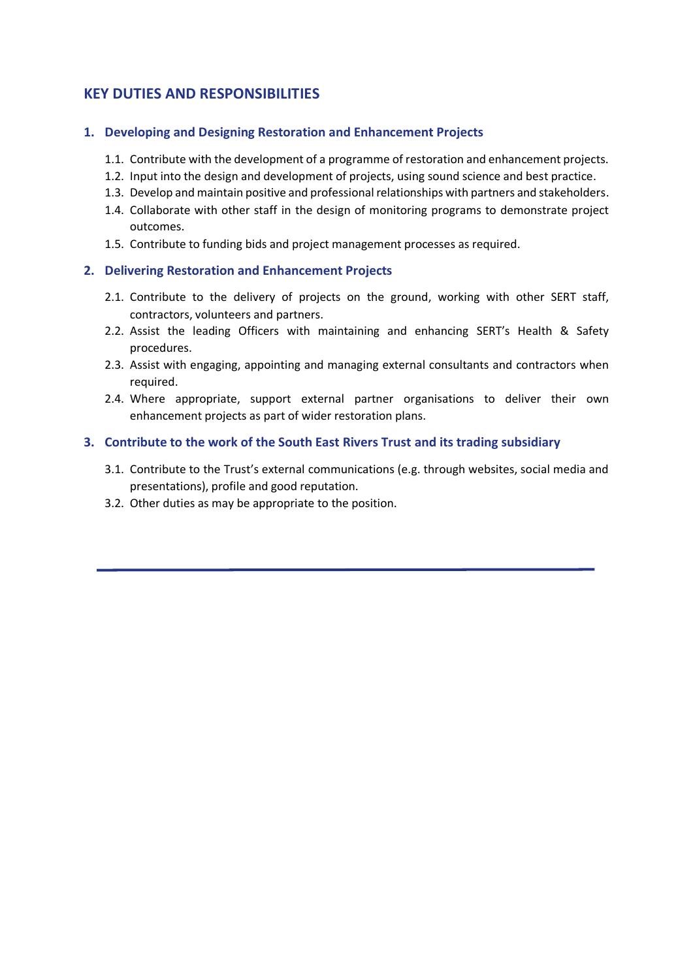## **KEY DUTIES AND RESPONSIBILITIES**

#### **1. Developing and Designing Restoration and Enhancement Projects**

- 1.1. Contribute with the development of a programme of restoration and enhancement projects.
- 1.2. Input into the design and development of projects, using sound science and best practice.
- 1.3. Develop and maintain positive and professional relationships with partners and stakeholders.
- 1.4. Collaborate with other staff in the design of monitoring programs to demonstrate project outcomes.
- 1.5. Contribute to funding bids and project management processes as required.

#### **2. Delivering Restoration and Enhancement Projects**

- 2.1. Contribute to the delivery of projects on the ground, working with other SERT staff, contractors, volunteers and partners.
- 2.2. Assist the leading Officers with maintaining and enhancing SERT's Health & Safety procedures.
- 2.3. Assist with engaging, appointing and managing external consultants and contractors when required.
- 2.4. Where appropriate, support external partner organisations to deliver their own enhancement projects as part of wider restoration plans.

#### **3. Contribute to the work of the South East Rivers Trust and its trading subsidiary**

- 3.1. Contribute to the Trust's external communications (e.g. through websites, social media and presentations), profile and good reputation.
- 3.2. Other duties as may be appropriate to the position.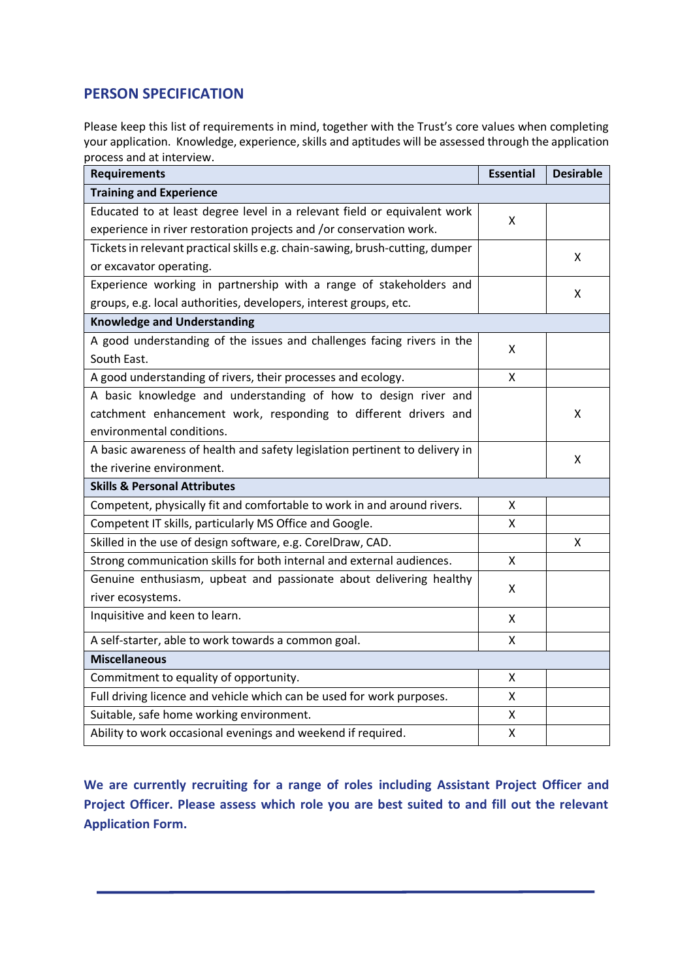## **PERSON SPECIFICATION**

Please keep this list of requirements in mind, together with the Trust's core values when completing your application. Knowledge, experience, skills and aptitudes will be assessed through the application process and at interview.

| <b>Requirements</b>                                                           |   | <b>Desirable</b> |  |
|-------------------------------------------------------------------------------|---|------------------|--|
| <b>Training and Experience</b>                                                |   |                  |  |
| Educated to at least degree level in a relevant field or equivalent work      | X |                  |  |
| experience in river restoration projects and /or conservation work.           |   |                  |  |
| Tickets in relevant practical skills e.g. chain-sawing, brush-cutting, dumper |   | X                |  |
| or excavator operating.                                                       |   |                  |  |
| Experience working in partnership with a range of stakeholders and            |   | x                |  |
| groups, e.g. local authorities, developers, interest groups, etc.             |   |                  |  |
| <b>Knowledge and Understanding</b>                                            |   |                  |  |
| A good understanding of the issues and challenges facing rivers in the        |   |                  |  |
| South East.                                                                   |   |                  |  |
| A good understanding of rivers, their processes and ecology.                  |   |                  |  |
| A basic knowledge and understanding of how to design river and                |   |                  |  |
| catchment enhancement work, responding to different drivers and               |   | X                |  |
| environmental conditions.                                                     |   |                  |  |
| A basic awareness of health and safety legislation pertinent to delivery in   |   | x                |  |
| the riverine environment.                                                     |   |                  |  |
| <b>Skills &amp; Personal Attributes</b>                                       |   |                  |  |
| Competent, physically fit and comfortable to work in and around rivers.       | x |                  |  |
| Competent IT skills, particularly MS Office and Google.                       |   |                  |  |
| Skilled in the use of design software, e.g. CorelDraw, CAD.                   |   | X                |  |
| Strong communication skills for both internal and external audiences.         |   |                  |  |
| Genuine enthusiasm, upbeat and passionate about delivering healthy            |   |                  |  |
| X<br>river ecosystems.                                                        |   |                  |  |
| Inquisitive and keen to learn.                                                |   |                  |  |
| A self-starter, able to work towards a common goal.                           |   |                  |  |
| <b>Miscellaneous</b>                                                          |   |                  |  |
| Commitment to equality of opportunity.                                        |   |                  |  |
| Full driving licence and vehicle which can be used for work purposes.         |   |                  |  |
| Suitable, safe home working environment.                                      |   |                  |  |
| Ability to work occasional evenings and weekend if required.                  |   |                  |  |

**We are currently recruiting for a range of roles including Assistant Project Officer and Project Officer. Please assess which role you are best suited to and fill out the relevant Application Form.**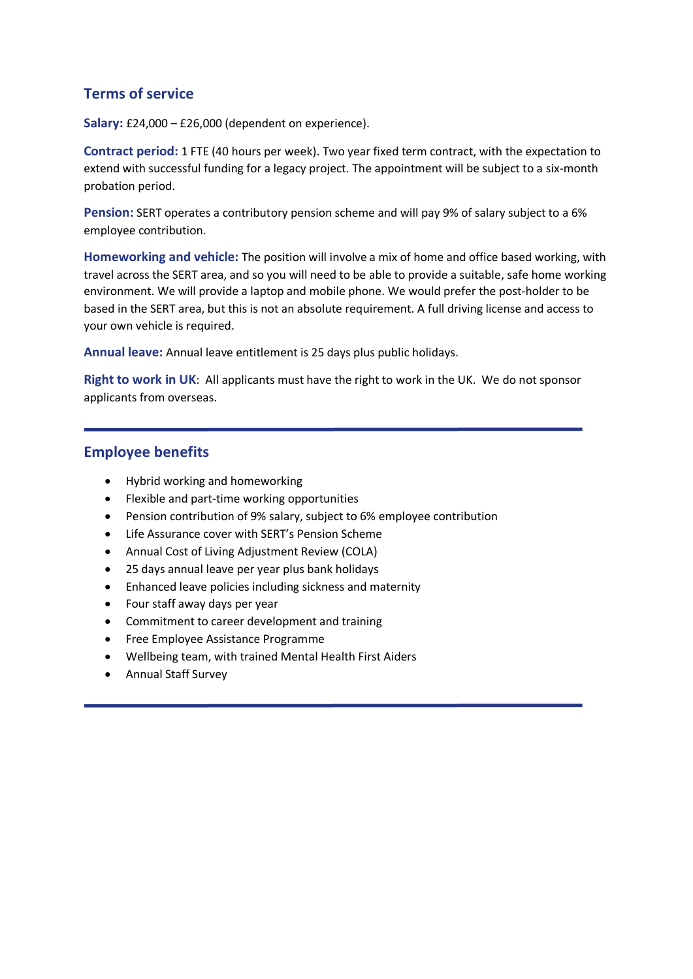## **Terms of service**

**Salary:** £24,000 – £26,000 (dependent on experience).

**Contract period:** 1 FTE (40 hours per week). Two year fixed term contract, with the expectation to extend with successful funding for a legacy project. The appointment will be subject to a six-month probation period.

**Pension:** SERT operates a contributory pension scheme and will pay 9% of salary subject to a 6% employee contribution.

**Homeworking and vehicle:** The position will involve a mix of home and office based working, with travel across the SERT area, and so you will need to be able to provide a suitable, safe home working environment. We will provide a laptop and mobile phone. We would prefer the post-holder to be based in the SERT area, but this is not an absolute requirement. A full driving license and access to your own vehicle is required.

**Annual leave:** Annual leave entitlement is 25 days plus public holidays.

**Right to work in UK**: All applicants must have the right to work in the UK. We do not sponsor applicants from overseas.

## **Employee benefits**

- Hybrid working and homeworking
- Flexible and part-time working opportunities
- Pension contribution of 9% salary, subject to 6% employee contribution
- Life Assurance cover with SERT's Pension Scheme
- Annual Cost of Living Adjustment Review (COLA)
- 25 days annual leave per year plus bank holidays
- Enhanced leave policies including sickness and maternity
- Four staff away days per year
- Commitment to career development and training
- Free Employee Assistance Programme
- Wellbeing team, with trained Mental Health First Aiders
- Annual Staff Survey